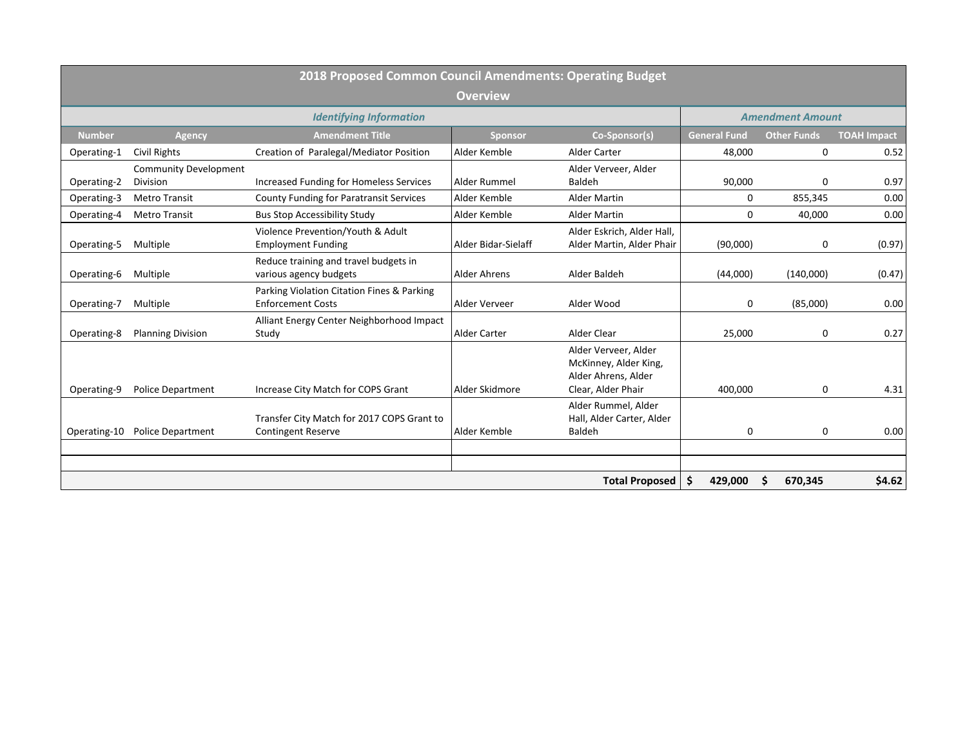|               |                                          | 2018 Proposed Common Council Amendments: Operating Budget               |                     |                                                                                            |                     |                         |                    |
|---------------|------------------------------------------|-------------------------------------------------------------------------|---------------------|--------------------------------------------------------------------------------------------|---------------------|-------------------------|--------------------|
|               |                                          |                                                                         | <b>Overview</b>     |                                                                                            |                     |                         |                    |
|               |                                          | <b>Identifying Information</b>                                          |                     |                                                                                            |                     | <b>Amendment Amount</b> |                    |
| <b>Number</b> | <b>Agency</b>                            | <b>Amendment Title</b>                                                  | <b>Sponsor</b>      | Co-Sponsor(s)                                                                              | <b>General Fund</b> | <b>Other Funds</b>      | <b>TOAH Impact</b> |
| Operating-1   | <b>Civil Rights</b>                      | Creation of Paralegal/Mediator Position                                 | Alder Kemble        | <b>Alder Carter</b>                                                                        | 48,000              | $\mathbf 0$             | 0.52               |
| Operating-2   | <b>Community Development</b><br>Division | Increased Funding for Homeless Services                                 | Alder Rummel        | Alder Verveer, Alder<br>Baldeh                                                             | 90,000              | $\Omega$                | 0.97               |
| Operating-3   | <b>Metro Transit</b>                     | <b>County Funding for Paratransit Services</b>                          | Alder Kemble        | <b>Alder Martin</b>                                                                        | $\mathbf 0$         | 855,345                 | 0.00               |
| Operating-4   | <b>Metro Transit</b>                     | <b>Bus Stop Accessibility Study</b>                                     | Alder Kemble        | <b>Alder Martin</b>                                                                        | $\Omega$            | 40,000                  | 0.00               |
| Operating-5   | Multiple                                 | Violence Prevention/Youth & Adult<br><b>Employment Funding</b>          | Alder Bidar-Sielaff | Alder Eskrich, Alder Hall,<br>Alder Martin, Alder Phair                                    | (90,000)            | 0                       | (0.97)             |
| Operating-6   | Multiple                                 | Reduce training and travel budgets in<br>various agency budgets         | Alder Ahrens        | Alder Baldeh                                                                               | (44,000)            | (140,000)               | (0.47)             |
| Operating-7   | Multiple                                 | Parking Violation Citation Fines & Parking<br><b>Enforcement Costs</b>  | Alder Verveer       | Alder Wood                                                                                 | $\mathbf 0$         | (85,000)                | 0.00               |
| Operating-8   | <b>Planning Division</b>                 | Alliant Energy Center Neighborhood Impact<br>Study                      | <b>Alder Carter</b> | Alder Clear                                                                                | 25,000              | 0                       | 0.27               |
| Operating-9   | <b>Police Department</b>                 | Increase City Match for COPS Grant                                      | Alder Skidmore      | Alder Verveer, Alder<br>McKinney, Alder King,<br>Alder Ahrens, Alder<br>Clear, Alder Phair | 400,000             | $\Omega$                | 4.31               |
| Operating-10  | Police Department                        | Transfer City Match for 2017 COPS Grant to<br><b>Contingent Reserve</b> | Alder Kemble        | Alder Rummel, Alder<br>Hall, Alder Carter, Alder<br>Baldeh                                 | $\mathbf 0$         | $\Omega$                | 0.00               |
|               |                                          |                                                                         |                     |                                                                                            |                     |                         |                    |
|               |                                          |                                                                         |                     | <b>Total Proposed</b>                                                                      | \$<br>429,000       | 670,345                 | \$4.62             |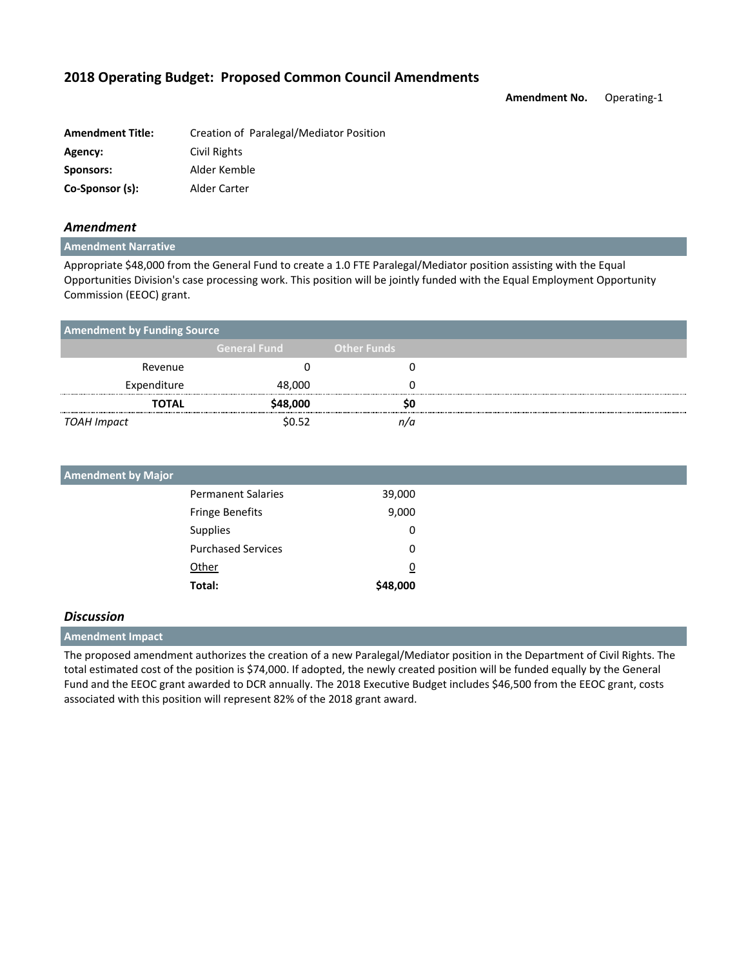**Amendment No.** Operating-1

| <b>Amendment Title:</b> | Creation of Paralegal/Mediator Position |
|-------------------------|-----------------------------------------|
| Agency:                 | Civil Rights                            |
| Sponsors:               | Alder Kemble                            |
| Co-Sponsor (s):         | Alder Carter                            |

## *Amendment*

#### **Amendment Narrative**

Appropriate \$48,000 from the General Fund to create a 1.0 FTE Paralegal/Mediator position assisting with the Equal Opportunities Division's case processing work. This position will be jointly funded with the Equal Employment Opportunity Commission (EEOC) grant.

| <b>Amendment by Funding Source</b> |                     |                    |
|------------------------------------|---------------------|--------------------|
|                                    | <b>General Fund</b> | <b>Other Funds</b> |
| Revenue                            |                     |                    |
| Expenditure                        | 48,000              |                    |
| <b>TOTAL</b>                       | \$48,000            |                    |
| TOAH Impact                        | \$0.52              |                    |

| <b>Amendment by Major</b> |                           |                |
|---------------------------|---------------------------|----------------|
|                           | <b>Permanent Salaries</b> | 39,000         |
|                           | <b>Fringe Benefits</b>    | 9,000          |
|                           | Supplies                  | 0              |
|                           | <b>Purchased Services</b> | 0              |
|                           | Other                     | $\overline{0}$ |
|                           | Total:                    | \$48,000       |

## *Discussion*

### **Amendment Impact**

The proposed amendment authorizes the creation of a new Paralegal/Mediator position in the Department of Civil Rights. The total estimated cost of the position is \$74,000. If adopted, the newly created position will be funded equally by the General Fund and the EEOC grant awarded to DCR annually. The 2018 Executive Budget includes \$46,500 from the EEOC grant, costs associated with this position will represent 82% of the 2018 grant award.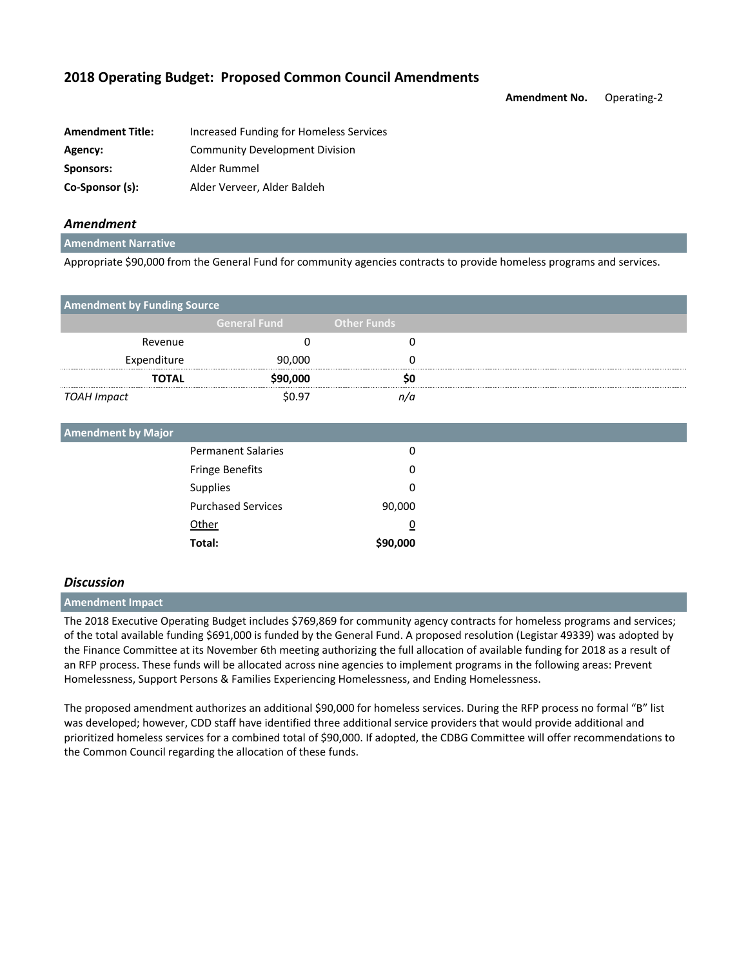**Amendment No.** Operating-2

| <b>Amendment Title:</b> | Increased Funding for Homeless Services |
|-------------------------|-----------------------------------------|
| Agency:                 | <b>Community Development Division</b>   |
| Sponsors:               | Alder Rummel                            |
| Co-Sponsor (s):         | Alder Verveer, Alder Baldeh             |

## *Amendment*

#### **Amendment Narrative**

Appropriate \$90,000 from the General Fund for community agencies contracts to provide homeless programs and services.

| <b>Amendment by Funding Source</b> |                     |                    |  |
|------------------------------------|---------------------|--------------------|--|
|                                    | <b>General Fund</b> | <b>Other Funds</b> |  |
| Revenue                            |                     |                    |  |
| Expenditure                        | 90,000              |                    |  |
| <b>TOTAL</b>                       | \$90,000            |                    |  |
| TOAH Impact                        | \$0.97              | n/a                |  |
|                                    |                     |                    |  |

| <b>Amendment by Major</b> |                           |          |  |
|---------------------------|---------------------------|----------|--|
|                           | <b>Permanent Salaries</b> | 0        |  |
|                           | <b>Fringe Benefits</b>    | 0        |  |
|                           | <b>Supplies</b>           | 0        |  |
|                           | <b>Purchased Services</b> | 90,000   |  |
|                           | Other                     | 0        |  |
|                           | Total:                    | \$90,000 |  |
|                           |                           |          |  |

#### *Discussion*

#### **Amendment Impact**

The 2018 Executive Operating Budget includes \$769,869 for community agency contracts for homeless programs and services; of the total available funding \$691,000 is funded by the General Fund. A proposed resolution (Legistar 49339) was adopted by the Finance Committee at its November 6th meeting authorizing the full allocation of available funding for 2018 as a result of an RFP process. These funds will be allocated across nine agencies to implement programs in the following areas: Prevent Homelessness, Support Persons & Families Experiencing Homelessness, and Ending Homelessness.

The proposed amendment authorizes an additional \$90,000 for homeless services. During the RFP process no formal "B" list was developed; however, CDD staff have identified three additional service providers that would provide additional and prioritized homeless services for a combined total of \$90,000. If adopted, the CDBG Committee will offer recommendations to the Common Council regarding the allocation of these funds.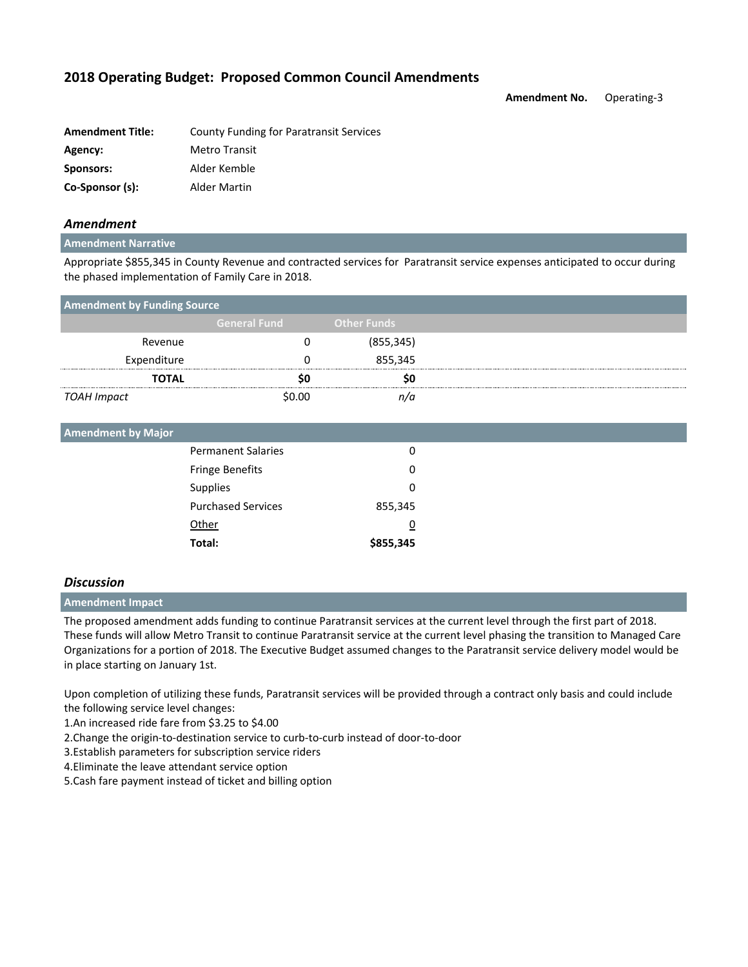**Amendment No.** Operating-3

| <b>Amendment Title:</b> | County Funding for Paratransit Services |
|-------------------------|-----------------------------------------|
| Agency:                 | <b>Metro Transit</b>                    |
| Sponsors:               | Alder Kemble                            |
| Co-Sponsor (s):         | Alder Martin                            |

## *Amendment*

#### **Amendment Narrative**

Appropriate \$855,345 in County Revenue and contracted services for Paratransit service expenses anticipated to occur during the phased implementation of Family Care in 2018.

| <b>Amendment by Funding Source</b> |                     |                    |  |
|------------------------------------|---------------------|--------------------|--|
|                                    | <b>General Fund</b> | <b>Other Funds</b> |  |
| Revenue                            |                     | (855, 345)         |  |
| Expenditure                        |                     | 855,345            |  |
| <b>TOTAL</b>                       |                     |                    |  |
| TOAH Impact                        | \$0.00              | n/a                |  |

| <b>Amendment by Major</b> |           |
|---------------------------|-----------|
| <b>Permanent Salaries</b> | 0         |
| <b>Fringe Benefits</b>    | 0         |
| <b>Supplies</b>           | 0         |
| <b>Purchased Services</b> | 855,345   |
| Other                     | 0         |
| Total:                    | \$855,345 |

### *Discussion*

**Amendment Impact**

The proposed amendment adds funding to continue Paratransit services at the current level through the first part of 2018. These funds will allow Metro Transit to continue Paratransit service at the current level phasing the transition to Managed Care Organizations for a portion of 2018. The Executive Budget assumed changes to the Paratransit service delivery model would be in place starting on January 1st.

Upon completion of utilizing these funds, Paratransit services will be provided through a contract only basis and could include the following service level changes:

1.An increased ride fare from \$3.25 to \$4.00

2.Change the origin-to-destination service to curb-to-curb instead of door-to-door

3.Establish parameters for subscription service riders

4.Eliminate the leave attendant service option

5.Cash fare payment instead of ticket and billing option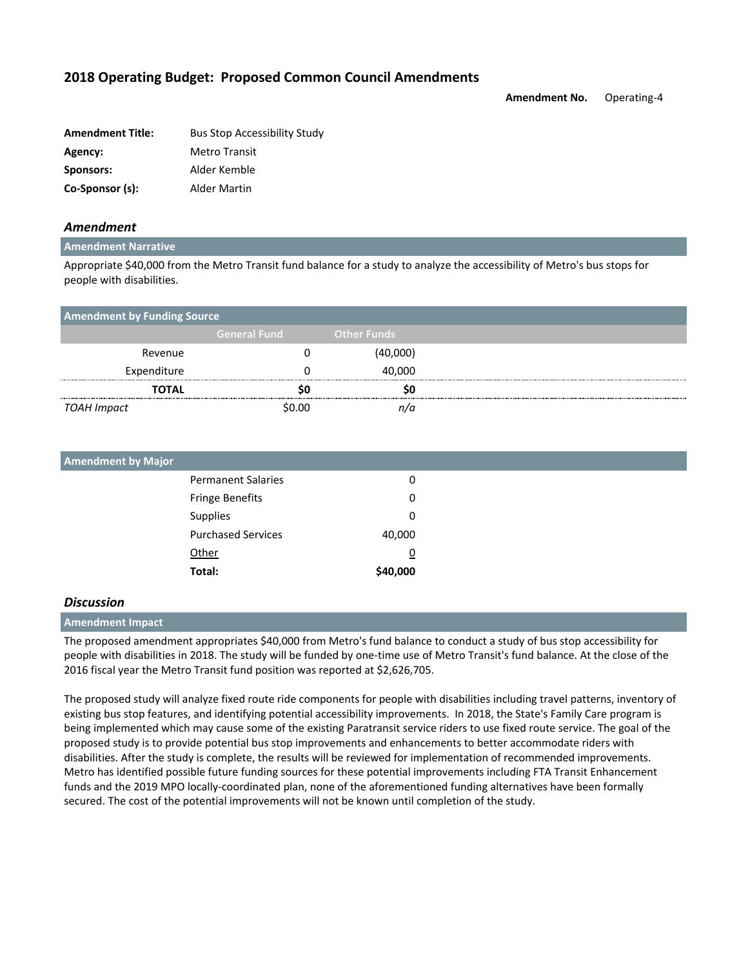**Amendment No.** Operating-4

| <b>Amendment Title:</b> | <b>Bus Stop Accessibility Study</b> |
|-------------------------|-------------------------------------|
| Agency:                 | <b>Metro Transit</b>                |
| Sponsors:               | Alder Kemble                        |
| Co-Sponsor (s):         | Alder Martin                        |

### *Amendment*

#### **Amendment Narrative**

Appropriate \$40,000 from the Metro Transit fund balance for a study to analyze the accessibility of Metro's bus stops for people with disabilities.

| <b>Amendment by Funding Source</b> |                     |                    |
|------------------------------------|---------------------|--------------------|
|                                    | <b>General Fund</b> | <b>Other Funds</b> |
| Revenue                            |                     | (40,000)           |
| Expenditure                        |                     | 40.000             |
| TOTAL                              |                     |                    |
| TOAH Impact                        | \$በ በበ              |                    |

| <b>Amendment by Major</b> |                           |                |
|---------------------------|---------------------------|----------------|
|                           | <b>Permanent Salaries</b> | 0              |
|                           | <b>Fringe Benefits</b>    | 0              |
|                           | Supplies                  | 0              |
|                           | <b>Purchased Services</b> | 40,000         |
|                           | Other                     | $\overline{0}$ |
|                           | Total:                    | \$40,000       |

#### *Discussion*

#### **Amendment Impact**

The proposed amendment appropriates \$40,000 from Metro's fund balance to conduct a study of bus stop accessibility for people with disabilities in 2018. The study will be funded by one-time use of Metro Transit's fund balance. At the close of the 2016 fiscal year the Metro Transit fund position was reported at \$2,626,705.

The proposed study will analyze fixed route ride components for people with disabilities including travel patterns, inventory of existing bus stop features, and identifying potential accessibility improvements. In 2018, the State's Family Care program is being implemented which may cause some of the existing Paratransit service riders to use fixed route service. The goal of the proposed study is to provide potential bus stop improvements and enhancements to better accommodate riders with disabilities. After the study is complete, the results will be reviewed for implementation of recommended improvements. Metro has identified possible future funding sources for these potential improvements including FTA Transit Enhancement funds and the 2019 MPO locally-coordinated plan, none of the aforementioned funding alternatives have been formally secured. The cost of the potential improvements will not be known until completion of the study.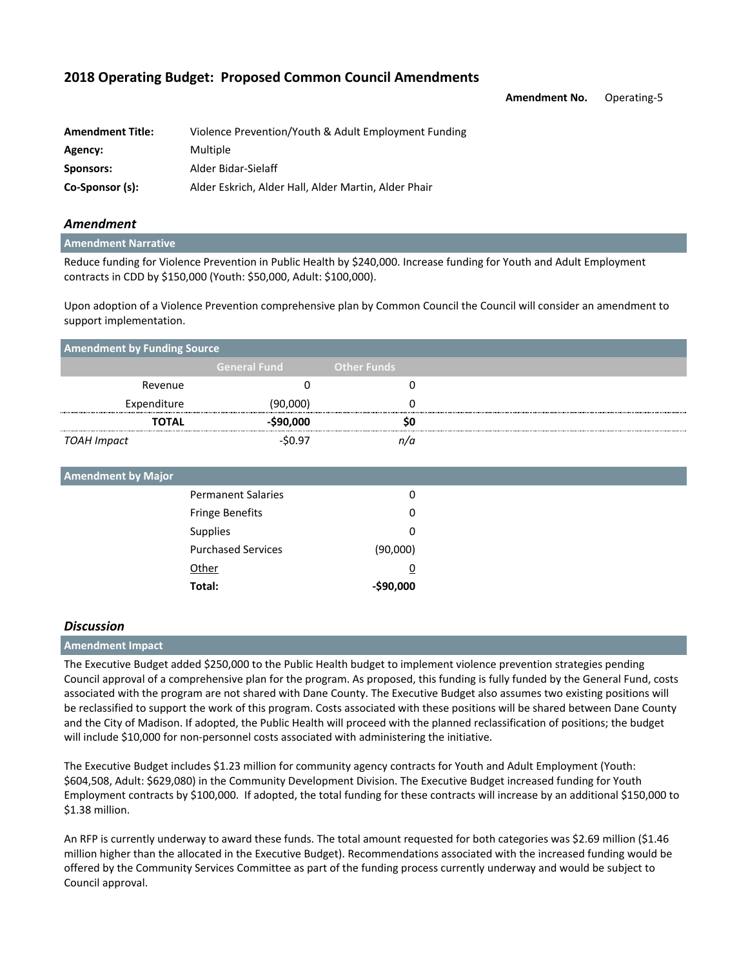|  |  |  |  |  |  | 2018 Operating Budget: Proposed Common Council Amendments |
|--|--|--|--|--|--|-----------------------------------------------------------|
|--|--|--|--|--|--|-----------------------------------------------------------|

**Amendment No.** Operating-5

| <b>Amendment Title:</b> | Violence Prevention/Youth & Adult Employment Funding |
|-------------------------|------------------------------------------------------|
| Agency:                 | Multiple                                             |
| Sponsors:               | Alder Bidar-Sielaff                                  |
| Co-Sponsor (s):         | Alder Eskrich, Alder Hall, Alder Martin, Alder Phair |

### *Amendment*

#### **Amendment Narrative**

Reduce funding for Violence Prevention in Public Health by \$240,000. Increase funding for Youth and Adult Employment contracts in CDD by \$150,000 (Youth: \$50,000, Adult: \$100,000).

Upon adoption of a Violence Prevention comprehensive plan by Common Council the Council will consider an amendment to support implementation.

| <b>Amendment by Funding Source</b> |                     |                    |  |
|------------------------------------|---------------------|--------------------|--|
|                                    | <b>General Fund</b> | <b>Other Funds</b> |  |
| Revenue                            |                     |                    |  |
| Expenditure                        | (90,000)            |                    |  |
| <b>TOTAL</b>                       | -\$90,000           | so                 |  |
| TOAH Impact                        | \$0.97              |                    |  |

| <b>Amendment by Major</b> |                           |           |
|---------------------------|---------------------------|-----------|
|                           | <b>Permanent Salaries</b> | 0         |
|                           | Fringe Benefits           | 0         |
|                           | <b>Supplies</b>           | 0         |
|                           | <b>Purchased Services</b> | (90,000)  |
|                           | Other                     | <u>0</u>  |
|                           | Total:                    | -\$90,000 |

#### *Discussion*

### **Amendment Impact**

The Executive Budget added \$250,000 to the Public Health budget to implement violence prevention strategies pending Council approval of a comprehensive plan for the program. As proposed, this funding is fully funded by the General Fund, costs associated with the program are not shared with Dane County. The Executive Budget also assumes two existing positions will be reclassified to support the work of this program. Costs associated with these positions will be shared between Dane County and the City of Madison. If adopted, the Public Health will proceed with the planned reclassification of positions; the budget will include \$10,000 for non-personnel costs associated with administering the initiative.

The Executive Budget includes \$1.23 million for community agency contracts for Youth and Adult Employment (Youth: \$604,508, Adult: \$629,080) in the Community Development Division. The Executive Budget increased funding for Youth Employment contracts by \$100,000. If adopted, the total funding for these contracts will increase by an additional \$150,000 to \$1.38 million.

An RFP is currently underway to award these funds. The total amount requested for both categories was \$2.69 million (\$1.46 million higher than the allocated in the Executive Budget). Recommendations associated with the increased funding would be offered by the Community Services Committee as part of the funding process currently underway and would be subject to Council approval.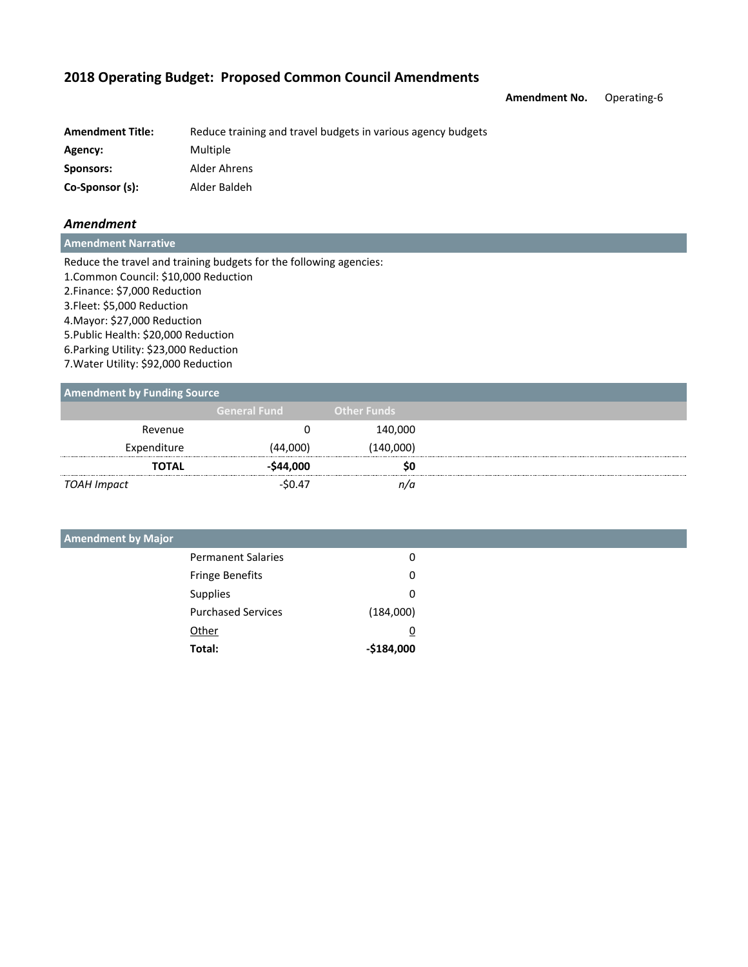**Amendment No.** Operating-6

| <b>Amendment Title:</b> | Reduce training and travel budgets in various agency budgets |
|-------------------------|--------------------------------------------------------------|
| Agency:                 | Multiple                                                     |
| Sponsors:               | Alder Ahrens                                                 |
| Co-Sponsor (s):         | Alder Baldeh                                                 |

## *Amendment*

**Amendment Narrative**

Reduce the travel and training budgets for the following agencies: 1.Common Council: \$10,000 Reduction 2.Finance: \$7,000 Reduction 3.Fleet: \$5,000 Reduction 4.Mayor: \$27,000 Reduction 5.Public Health: \$20,000 Reduction 6.Parking Utility: \$23,000 Reduction 7.Water Utility: \$92,000 Reduction

#### **Amendment by Funding Source**

| . .          |                     |                    |
|--------------|---------------------|--------------------|
|              | <b>General Fund</b> | <b>Other Funds</b> |
| Revenue      |                     | 140,000            |
| Expenditure  | (44,000)            | (140,000)          |
| <b>TOTAL</b> | -\$44,000           | SO                 |
| TOAH Impact  | $-50.47$            | n/a                |

| <b>Amendment by Major</b> |                           |             |
|---------------------------|---------------------------|-------------|
|                           | <b>Permanent Salaries</b> | 0           |
|                           | <b>Fringe Benefits</b>    | 0           |
|                           | <b>Supplies</b>           | 0           |
|                           | <b>Purchased Services</b> | (184,000)   |
|                           | Other                     | 0           |
|                           | Total:                    | $-$184,000$ |
|                           |                           |             |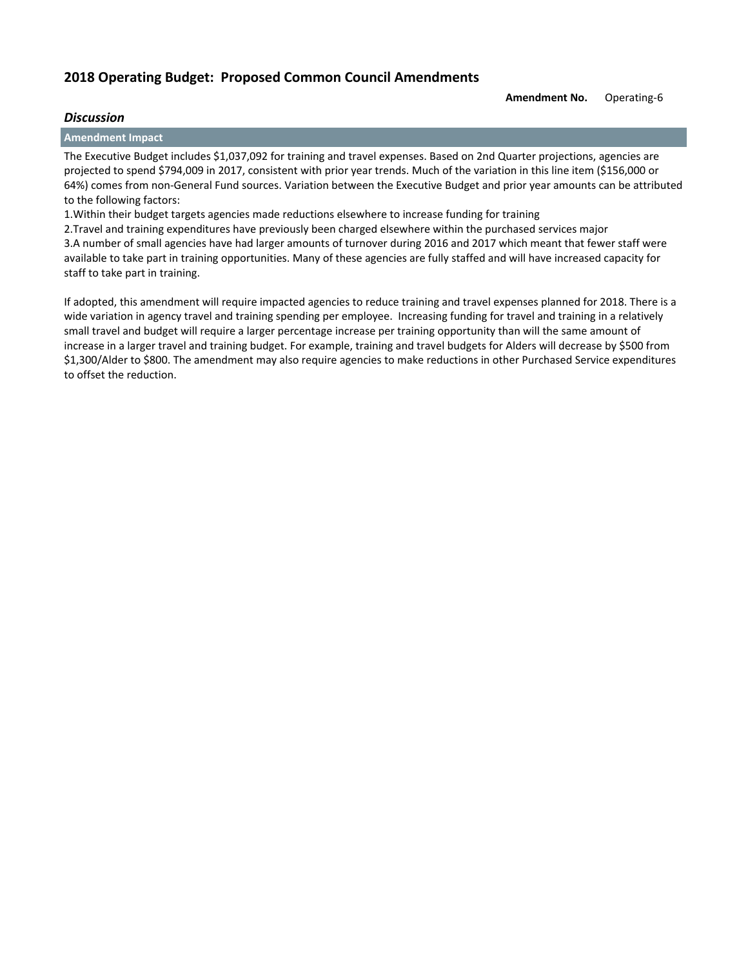#### **Amendment No.** Operating-6

## *Discussion*

**Amendment Impact**

The Executive Budget includes \$1,037,092 for training and travel expenses. Based on 2nd Quarter projections, agencies are projected to spend \$794,009 in 2017, consistent with prior year trends. Much of the variation in this line item (\$156,000 or 64%) comes from non-General Fund sources. Variation between the Executive Budget and prior year amounts can be attributed to the following factors:

1.Within their budget targets agencies made reductions elsewhere to increase funding for training

2.Travel and training expenditures have previously been charged elsewhere within the purchased services major 3.A number of small agencies have had larger amounts of turnover during 2016 and 2017 which meant that fewer staff were available to take part in training opportunities. Many of these agencies are fully staffed and will have increased capacity for staff to take part in training.

If adopted, this amendment will require impacted agencies to reduce training and travel expenses planned for 2018. There is a wide variation in agency travel and training spending per employee. Increasing funding for travel and training in a relatively small travel and budget will require a larger percentage increase per training opportunity than will the same amount of increase in a larger travel and training budget. For example, training and travel budgets for Alders will decrease by \$500 from \$1,300/Alder to \$800. The amendment may also require agencies to make reductions in other Purchased Service expenditures to offset the reduction.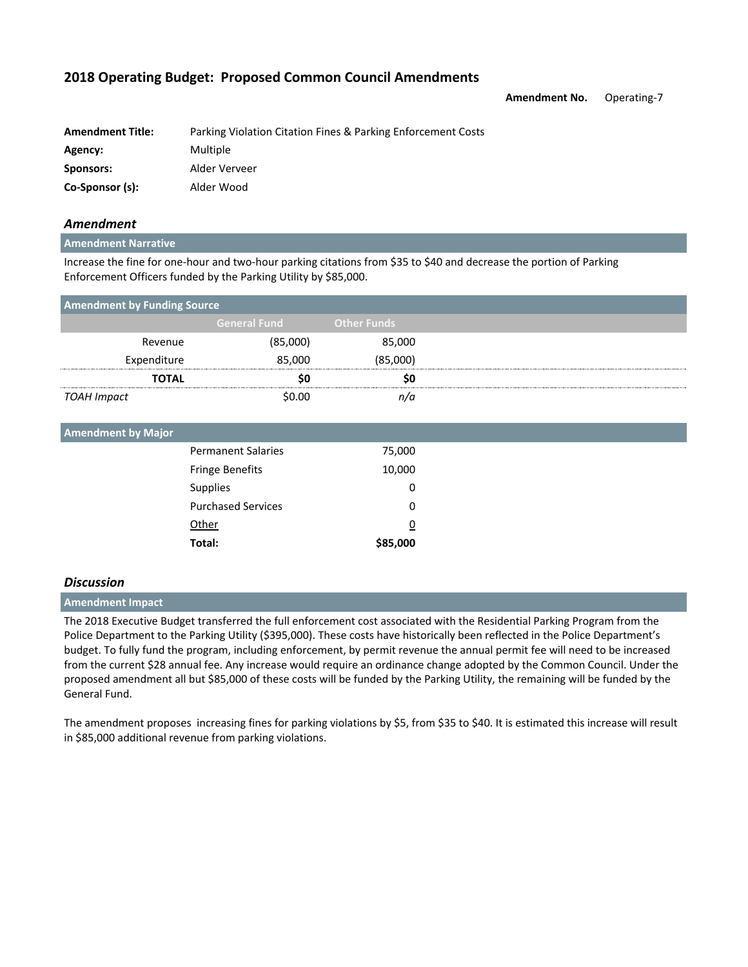**Amendment No.** Operating-7

| <b>Amendment Title:</b> | Parking Violation Citation Fines & Parking Enforcement Costs |
|-------------------------|--------------------------------------------------------------|
| Agency:                 | Multiple                                                     |
| Sponsors:               | Alder Verveer                                                |
| Co-Sponsor (s):         | Alder Wood                                                   |

## *Amendment*

#### **Amendment Narrative**

Increase the fine for one-hour and two-hour parking citations from \$35 to \$40 and decrease the portion of Parking Enforcement Officers funded by the Parking Utility by \$85,000.

| <b>Amendment by Funding Source</b> |                    |  |  |
|------------------------------------|--------------------|--|--|
| <b>General Fund</b>                | <b>Other Funds</b> |  |  |
| (85,000)                           | 85,000             |  |  |
| 85,000                             | (85,000)           |  |  |
|                                    | SO.                |  |  |
| \$0.00                             | n/a                |  |  |
|                                    |                    |  |  |

| <b>Amendment by Major</b> |                           |                |  |
|---------------------------|---------------------------|----------------|--|
|                           | <b>Permanent Salaries</b> | 75,000         |  |
|                           | <b>Fringe Benefits</b>    | 10,000         |  |
|                           | Supplies                  | 0              |  |
|                           | <b>Purchased Services</b> | 0              |  |
|                           | Other                     | $\overline{0}$ |  |
|                           | Total:                    | \$85,000       |  |
|                           |                           |                |  |

### *Discussion*

#### **Amendment Impact**

The 2018 Executive Budget transferred the full enforcement cost associated with the Residential Parking Program from the Police Department to the Parking Utility (\$395,000). These costs have historically been reflected in the Police Department's budget. To fully fund the program, including enforcement, by permit revenue the annual permit fee will need to be increased from the current \$28 annual fee. Any increase would require an ordinance change adopted by the Common Council. Under the proposed amendment all but \$85,000 of these costs will be funded by the Parking Utility, the remaining will be funded by the General Fund.

The amendment proposes increasing fines for parking violations by \$5, from \$35 to \$40. It is estimated this increase will result in \$85,000 additional revenue from parking violations.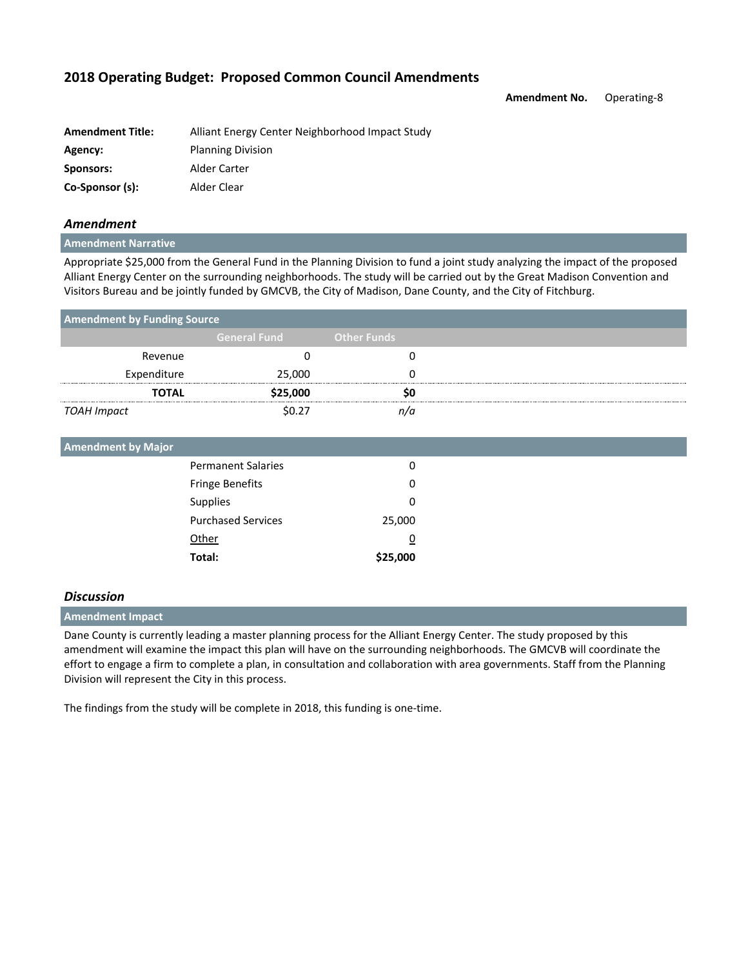**Amendment No.** Operating-8

| <b>Amendment Title:</b> | Alliant Energy Center Neighborhood Impact Study |
|-------------------------|-------------------------------------------------|
| Agency:                 | <b>Planning Division</b>                        |
| Sponsors:               | Alder Carter                                    |
| Co-Sponsor (s):         | Alder Clear                                     |

## *Amendment*

#### **Amendment Narrative**

Appropriate \$25,000 from the General Fund in the Planning Division to fund a joint study analyzing the impact of the proposed Alliant Energy Center on the surrounding neighborhoods. The study will be carried out by the Great Madison Convention and Visitors Bureau and be jointly funded by GMCVB, the City of Madison, Dane County, and the City of Fitchburg.

| <b>Amendment by Funding Source</b> |                           |                    |  |
|------------------------------------|---------------------------|--------------------|--|
|                                    | <b>General Fund</b>       | <b>Other Funds</b> |  |
| Revenue                            | 0                         | $\Omega$           |  |
| Expenditure                        | 25,000                    |                    |  |
| TOTAL                              | \$25,000                  | S0                 |  |
| <b>TOAH Impact</b>                 | \$0.27                    | n/a                |  |
| <b>Amendment by Major</b>          |                           |                    |  |
|                                    | <b>Permanent Salaries</b> | O                  |  |
|                                    | <b>Fringe Benefits</b>    |                    |  |
|                                    | Supplies                  |                    |  |
|                                    | <b>Purchased Services</b> | 25,000             |  |
|                                    | Other                     |                    |  |

### *Discussion*

### **Amendment Impact**

Dane County is currently leading a master planning process for the Alliant Energy Center. The study proposed by this amendment will examine the impact this plan will have on the surrounding neighborhoods. The GMCVB will coordinate the effort to engage a firm to complete a plan, in consultation and collaboration with area governments. Staff from the Planning Division will represent the City in this process.

The findings from the study will be complete in 2018, this funding is one-time.

**Total: \$25,000**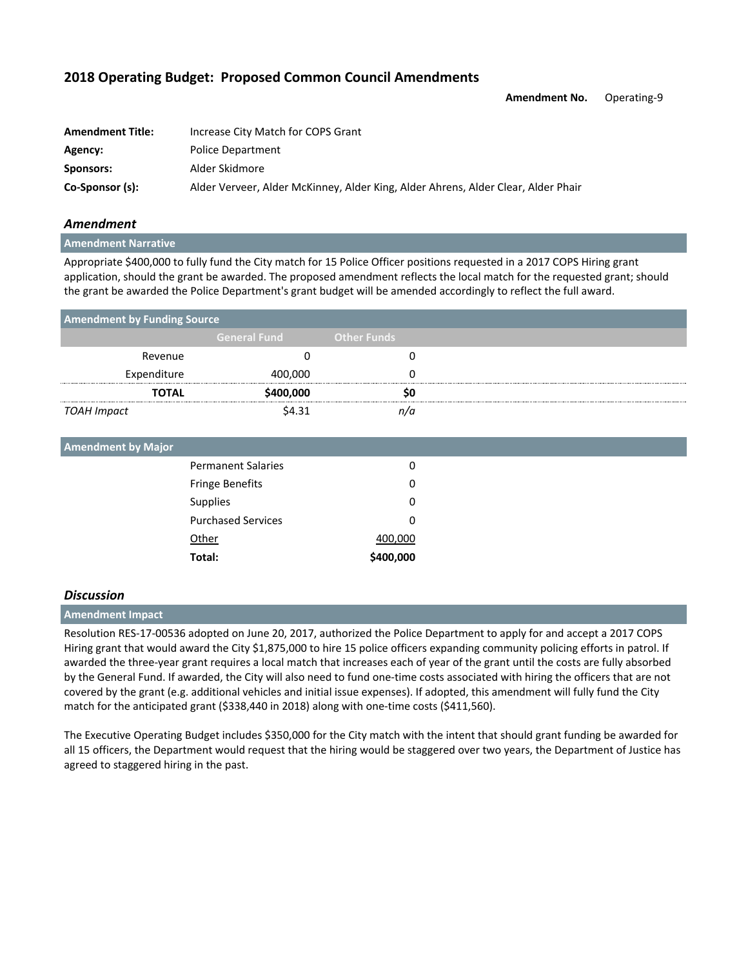**Amendment No.** Operating-9

| <b>Amendment Title:</b> | Increase City Match for COPS Grant                                                |
|-------------------------|-----------------------------------------------------------------------------------|
| Agency:                 | <b>Police Department</b>                                                          |
| Sponsors:               | Alder Skidmore                                                                    |
| Co-Sponsor (s):         | Alder Verveer, Alder McKinney, Alder King, Alder Ahrens, Alder Clear, Alder Phair |

### *Amendment*

**Amendment Narrative**

Appropriate \$400,000 to fully fund the City match for 15 Police Officer positions requested in a 2017 COPS Hiring grant application, should the grant be awarded. The proposed amendment reflects the local match for the requested grant; should the grant be awarded the Police Department's grant budget will be amended accordingly to reflect the full award.

| <b>Amendment by Funding Source</b> |                     |                    |  |
|------------------------------------|---------------------|--------------------|--|
|                                    | <b>General Fund</b> | <b>Other Funds</b> |  |
| Revenue                            |                     |                    |  |
| Expenditure                        | 400,000             |                    |  |
| <b>TOTAL</b>                       | \$400,000           | SO                 |  |
| TOAH Impact                        | \$4.31              |                    |  |

| <b>Amendment by Major</b> |           |  |
|---------------------------|-----------|--|
| <b>Permanent Salaries</b> | 0         |  |
| <b>Fringe Benefits</b>    | 0         |  |
| Supplies                  | 0         |  |
| <b>Purchased Services</b> | 0         |  |
| Other                     | 400,000   |  |
| Total:                    | \$400,000 |  |

### *Discussion*

#### **Amendment Impact**

Resolution RES-17-00536 adopted on June 20, 2017, authorized the Police Department to apply for and accept a 2017 COPS Hiring grant that would award the City \$1,875,000 to hire 15 police officers expanding community policing efforts in patrol. If awarded the three-year grant requires a local match that increases each of year of the grant until the costs are fully absorbed by the General Fund. If awarded, the City will also need to fund one-time costs associated with hiring the officers that are not covered by the grant (e.g. additional vehicles and initial issue expenses). If adopted, this amendment will fully fund the City match for the anticipated grant (\$338,440 in 2018) along with one-time costs (\$411,560).

The Executive Operating Budget includes \$350,000 for the City match with the intent that should grant funding be awarded for all 15 officers, the Department would request that the hiring would be staggered over two years, the Department of Justice has agreed to staggered hiring in the past.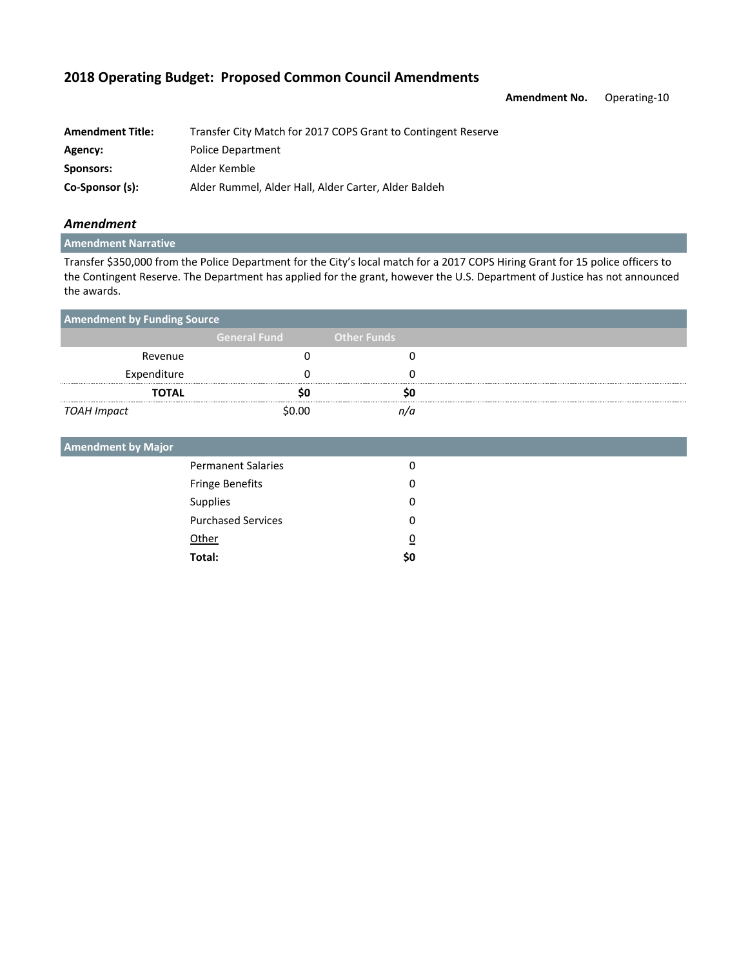**Amendment No.** Operating-10

| <b>Amendment Title:</b> | Transfer City Match for 2017 COPS Grant to Contingent Reserve |
|-------------------------|---------------------------------------------------------------|
| Agency:                 | <b>Police Department</b>                                      |
| Sponsors:               | Alder Kemble                                                  |
| Co-Sponsor (s):         | Alder Rummel, Alder Hall, Alder Carter, Alder Baldeh          |

## *Amendment*

## **Amendment Narrative**

Transfer \$350,000 from the Police Department for the City's local match for a 2017 COPS Hiring Grant for 15 police officers to the Contingent Reserve. The Department has applied for the grant, however the U.S. Department of Justice has not announced the awards.

| <b>Amendment by Funding Source</b> |                     |                    |  |
|------------------------------------|---------------------|--------------------|--|
|                                    | <b>General Fund</b> | <b>Other Funds</b> |  |
| Revenue                            |                     |                    |  |
| Expenditure                        |                     |                    |  |
| <b>TOTAL</b>                       |                     |                    |  |
| TOAH Impact                        | \$N NN              |                    |  |

| <b>Permanent Salaries</b> | 0              |
|---------------------------|----------------|
| Fringe Benefits           | 0              |
| Supplies                  | 0              |
| <b>Purchased Services</b> | 0              |
| Other                     | $\overline{0}$ |
| Total:                    | \$0            |
|                           |                |